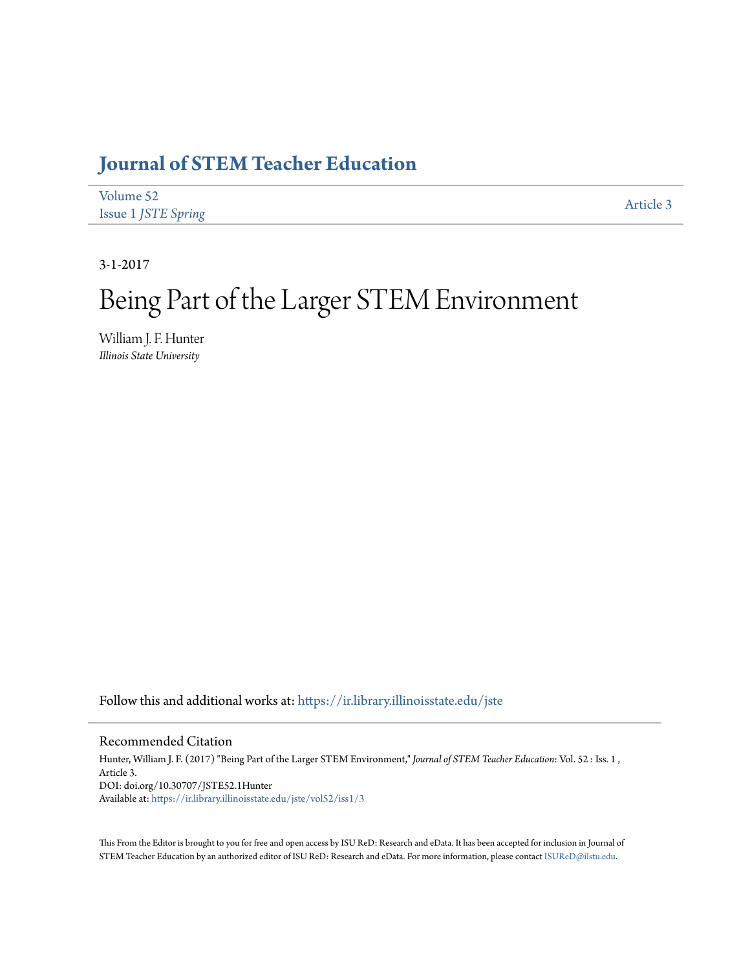## **[Journal of STEM Teacher Education](https://ir.library.illinoisstate.edu/jste?utm_source=ir.library.illinoisstate.edu%2Fjste%2Fvol52%2Fiss1%2F3&utm_medium=PDF&utm_campaign=PDFCoverPages)**

| Volume 52                  | Article 3 |
|----------------------------|-----------|
| <b>Issue 1 JSTE Spring</b> |           |

3-1-2017

## Being Part of the Larger STEM Environment

William J. F. Hunter *Illinois State University*

Follow this and additional works at: [https://ir.library.illinoisstate.edu/jste](https://ir.library.illinoisstate.edu/jste?utm_source=ir.library.illinoisstate.edu%2Fjste%2Fvol52%2Fiss1%2F3&utm_medium=PDF&utm_campaign=PDFCoverPages)

## Recommended Citation

Hunter, William J. F. (2017) "Being Part of the Larger STEM Environment," *Journal of STEM Teacher Education*: Vol. 52 : Iss. 1 , Article 3. DOI: doi.org/10.30707/JSTE52.1Hunter Available at: [https://ir.library.illinoisstate.edu/jste/vol52/iss1/3](https://ir.library.illinoisstate.edu/jste/vol52/iss1/3?utm_source=ir.library.illinoisstate.edu%2Fjste%2Fvol52%2Fiss1%2F3&utm_medium=PDF&utm_campaign=PDFCoverPages)

This From the Editor is brought to you for free and open access by ISU ReD: Research and eData. It has been accepted for inclusion in Journal of STEM Teacher Education by an authorized editor of ISU ReD: Research and eData. For more information, please contact [ISUReD@ilstu.edu.](mailto:ISUReD@ilstu.edu)